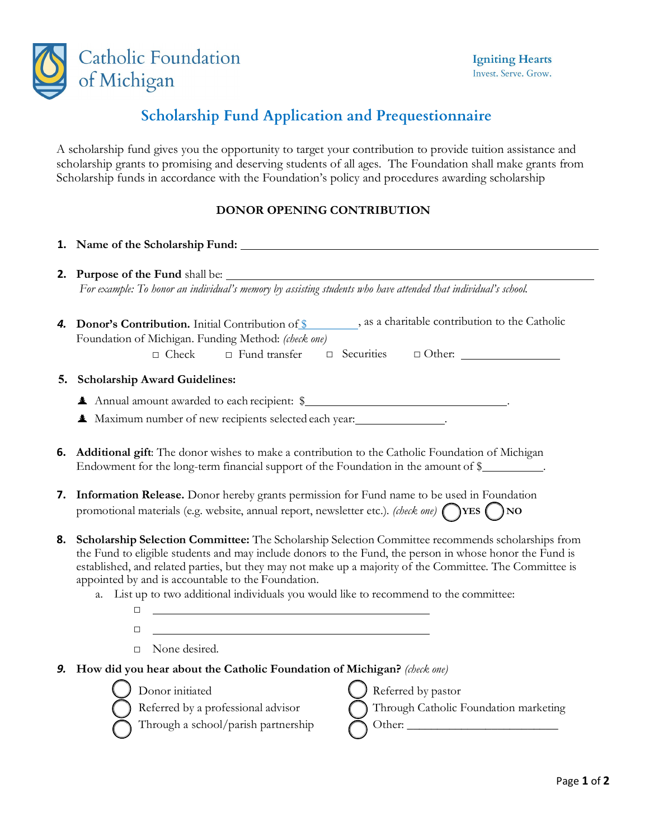

# **Scholarship Fund Application and Prequestionnaire**

A scholarship fund gives you the opportunity to target your contribution to provide tuition assistance and scholarship grants to promising and deserving students of all ages. The Foundation shall make grants from Scholarship funds in accordance with the Foundation's policy and procedures awarding scholarship

## **DONOR OPENING CONTRIBUTION**

#### **1. Name of the Scholarship Fund:**

**2. Purpose of the Fund** shall be: *For example: To honor an individual's memory by assisting students who have attended that individual's school.*

| <b>4. Donor's Contribution.</b> Initial Contribution of \$ |                      |  | , as a charitable contribution to the Catholic |               |  |
|------------------------------------------------------------|----------------------|--|------------------------------------------------|---------------|--|
| Foundation of Michigan. Funding Method: (check one)        |                      |  |                                                |               |  |
| $\Box$ Check                                               | $\Box$ Fund transfer |  | □ Securities                                   | $\Box$ Other: |  |

### **5. Scholarship Award Guidelines:**

- $\triangle$  Annual amount awarded to each recipient:  $\$\$
- $\triangle$  Maximum number of new recipients selected each year:
- **6. Additional gift**: The donor wishes to make a contribution to the Catholic Foundation of Michigan Endowment for the long-term financial support of the Foundation in the amount of \$
- **7. Information Release.** Donor hereby grants permission for Fund name to be used in Foundation promotional materials (e.g. website, annual report, newsletter etc.). *(check one)* **VES**  $\bigcap$ **YES**  $\bigcap$ **NO**
- **8. Scholarship Selection Committee:** The Scholarship Selection Committee recommends scholarships from the Fund to eligible students and may include donors to the Fund, the person in whose honor the Fund is established, and related parties, but they may not make up a majority of the Committee. The Committee is appointed by and is accountable to the Foundation.
	- a. List up to two additional individuals you would like to recommend to the committee:
		-
		- □ None desired.

□ □

- *9.* **How did you hear about the Catholic Foundation of Michigan?** *(check one)*
	- Donor initiated <br>Referred by a professional advisor<br>
	Through Catholic I Through Catholic Foundation marketing Through a school/parish partnership Other: \_\_\_\_\_\_\_\_\_\_\_\_\_\_\_\_\_\_\_\_\_\_\_\_\_